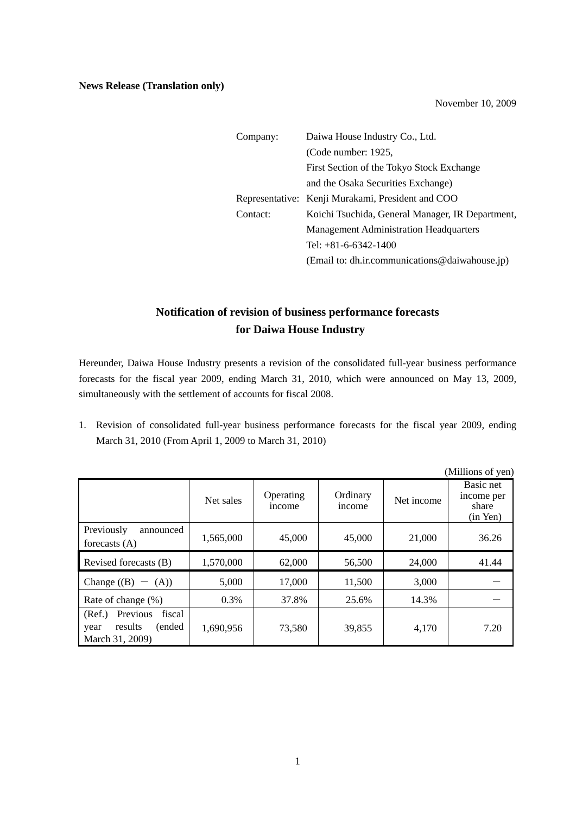November 10, 2009

| Company: | Daiwa House Industry Co., Ltd.                    |  |  |
|----------|---------------------------------------------------|--|--|
|          | (Code number: 1925,                               |  |  |
|          | First Section of the Tokyo Stock Exchange         |  |  |
|          | and the Osaka Securities Exchange)                |  |  |
|          | Representative: Kenji Murakami, President and COO |  |  |
| Contact: | Koichi Tsuchida, General Manager, IR Department,  |  |  |
|          | <b>Management Administration Headquarters</b>     |  |  |
|          | Tel: $+81-6-6342-1400$                            |  |  |
|          | (Email to: dh.ir.communications@daiwahouse.jp)    |  |  |

# **Notification of revision of business performance forecasts for Daiwa House Industry**

Hereunder, Daiwa House Industry presents a revision of the consolidated full-year business performance forecasts for the fiscal year 2009, ending March 31, 2010, which were announced on May 13, 2009, simultaneously with the settlement of accounts for fiscal 2008.

1. Revision of consolidated full-year business performance forecasts for the fiscal year 2009, ending March 31, 2010 (From April 1, 2009 to March 31, 2010)

|                                                                              |           |                     |                    |            | (Millions of yen)                                 |
|------------------------------------------------------------------------------|-----------|---------------------|--------------------|------------|---------------------------------------------------|
|                                                                              | Net sales | Operating<br>income | Ordinary<br>income | Net income | Basic net<br>income per<br>share<br>$(in$ Yen $)$ |
| Previously<br>announced<br>forecasts $(A)$                                   | 1,565,000 | 45,000              | 45,000             | 21,000     | 36.26                                             |
| Revised forecasts (B)                                                        | 1,570,000 | 62,000              | 56,500             | 24,000     | 41.44                                             |
| Change $((B) - (A))$                                                         | 5,000     | 17,000              | 11,500             | 3,000      |                                                   |
| Rate of change (%)                                                           | 0.3%      | 37.8%               | 25.6%              | 14.3%      |                                                   |
| Previous<br>(Ref.)<br>fiscal<br>results<br>(ended<br>year<br>March 31, 2009) | 1,690,956 | 73,580              | 39,855             | 4,170      | 7.20                                              |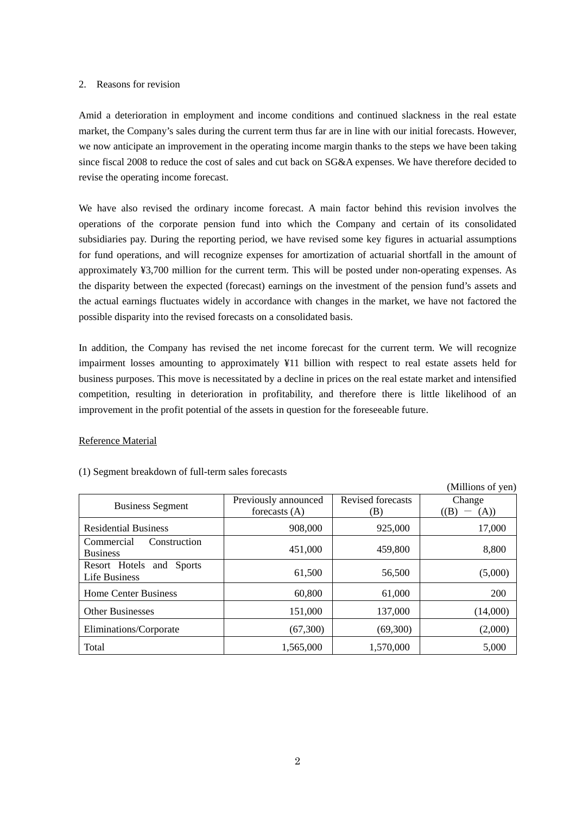## 2. Reasons for revision

Amid a deterioration in employment and income conditions and continued slackness in the real estate market, the Company's sales during the current term thus far are in line with our initial forecasts. However, we now anticipate an improvement in the operating income margin thanks to the steps we have been taking since fiscal 2008 to reduce the cost of sales and cut back on SG&A expenses. We have therefore decided to revise the operating income forecast.

We have also revised the ordinary income forecast. A main factor behind this revision involves the operations of the corporate pension fund into which the Company and certain of its consolidated subsidiaries pay. During the reporting period, we have revised some key figures in actuarial assumptions for fund operations, and will recognize expenses for amortization of actuarial shortfall in the amount of approximately ¥3,700 million for the current term. This will be posted under non-operating expenses. As the disparity between the expected (forecast) earnings on the investment of the pension fund's assets and the actual earnings fluctuates widely in accordance with changes in the market, we have not factored the possible disparity into the revised forecasts on a consolidated basis.

In addition, the Company has revised the net income forecast for the current term. We will recognize impairment losses amounting to approximately ¥11 billion with respect to real estate assets held for business purposes. This move is necessitated by a decline in prices on the real estate market and intensified competition, resulting in deterioration in profitability, and therefore there is little likelihood of an improvement in the profit potential of the assets in question for the foreseeable future.

## Reference Material

| <b>Business Segment</b>                       | Previously announced<br>forecasts $(A)$ | <b>Revised forecasts</b><br>(B) | Change<br>$\left( \mathrm{(B)}\right)$<br>(A)) |
|-----------------------------------------------|-----------------------------------------|---------------------------------|------------------------------------------------|
| <b>Residential Business</b>                   | 908,000                                 | 925,000                         | 17,000                                         |
| Commercial<br>Construction<br><b>Business</b> | 451,000                                 | 459,800                         | 8,800                                          |
| Resort Hotels<br>and Sports<br>Life Business  | 61,500                                  | 56,500                          | (5,000)                                        |
| Home Center Business                          | 60,800                                  | 61,000                          | 200                                            |
| <b>Other Businesses</b>                       | 151,000                                 | 137,000                         | (14,000)                                       |
| Eliminations/Corporate                        | (67,300)                                | (69,300)                        | (2,000)                                        |
| Total                                         | 1.565.000                               | 1,570,000                       | 5,000                                          |

(Millions of yen)

## (1) Segment breakdown of full-term sales forecasts